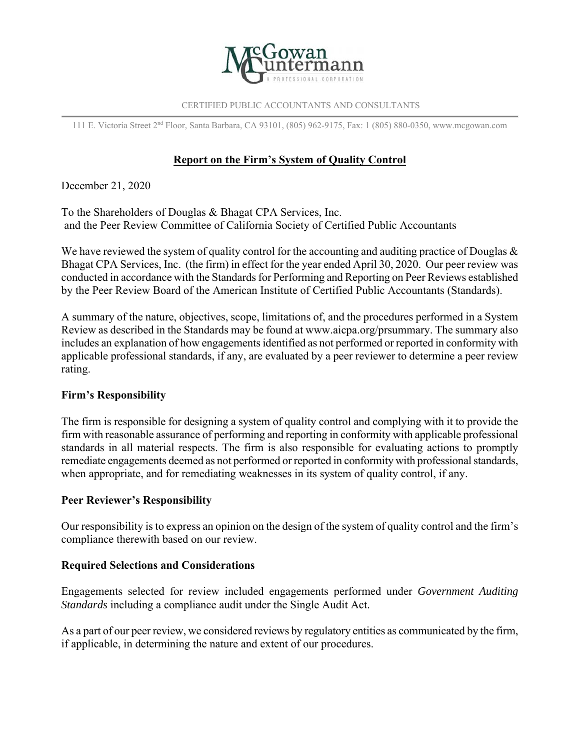

#### CERTIFIED PUBLIC ACCOUNTANTS AND CONSULTANTS

111 E. Victoria Street 2nd Floor, Santa Barbara, CA 93101, (805) 962-9175, Fax: 1 (805) 880-0350, www.mcgowan.com

# **Report on the Firm's System of Quality Control**

December 21, 2020

To the Shareholders of Douglas & Bhagat CPA Services, Inc. and the Peer Review Committee of California Society of Certified Public Accountants

We have reviewed the system of quality control for the accounting and auditing practice of Douglas  $\&$ Bhagat CPA Services, Inc. (the firm) in effect for the year ended April 30, 2020. Our peer review was conducted in accordance with the Standards for Performing and Reporting on Peer Reviews established by the Peer Review Board of the American Institute of Certified Public Accountants (Standards).

A summary of the nature, objectives, scope, limitations of, and the procedures performed in a System Review as described in the Standards may be found at www.aicpa.org/prsummary. The summary also includes an explanation of how engagements identified as not performed or reported in conformity with applicable professional standards, if any, are evaluated by a peer reviewer to determine a peer review rating.

### **Firm's Responsibility**

The firm is responsible for designing a system of quality control and complying with it to provide the firm with reasonable assurance of performing and reporting in conformity with applicable professional standards in all material respects. The firm is also responsible for evaluating actions to promptly remediate engagements deemed as not performed or reported in conformity with professional standards, when appropriate, and for remediating weaknesses in its system of quality control, if any.

### **Peer Reviewer's Responsibility**

Our responsibility is to express an opinion on the design of the system of quality control and the firm's compliance therewith based on our review.

### **Required Selections and Considerations**

Engagements selected for review included engagements performed under *Government Auditing Standards* including a compliance audit under the Single Audit Act.

As a part of our peer review, we considered reviews by regulatory entities as communicated by the firm, if applicable, in determining the nature and extent of our procedures.